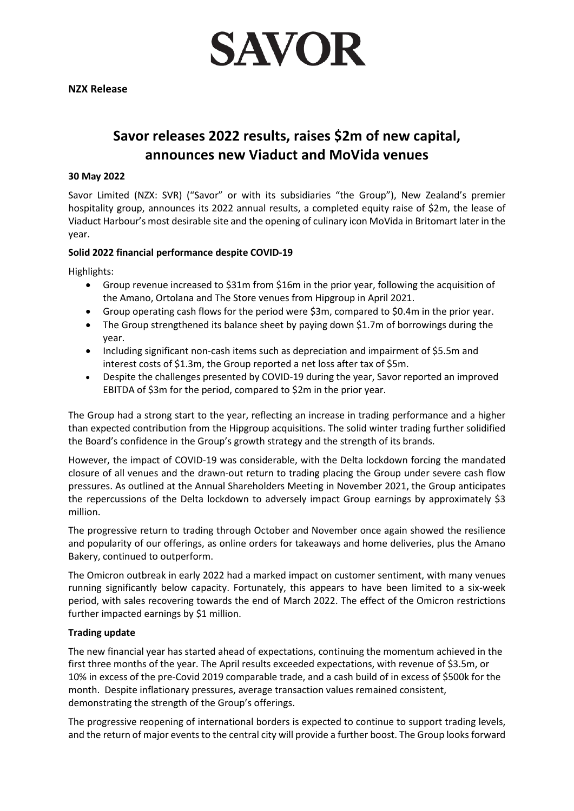

# **Savor releases 2022 results, raises \$2m of new capital, announces new Viaduct and MoVida venues**

## **30 May 2022**

Savor Limited (NZX: SVR) ("Savor" or with its subsidiaries "the Group"), New Zealand's premier hospitality group, announces its 2022 annual results, a completed equity raise of \$2m, the lease of Viaduct Harbour's most desirable site and the opening of culinary icon MoVida in Britomart later in the year.

# **Solid 2022 financial performance despite COVID-19**

Highlights:

- Group revenue increased to \$31m from \$16m in the prior year, following the acquisition of the Amano, Ortolana and The Store venues from Hipgroup in April 2021.
- Group operating cash flows for the period were \$3m, compared to \$0.4m in the prior year.
- The Group strengthened its balance sheet by paying down \$1.7m of borrowings during the year.
- Including significant non-cash items such as depreciation and impairment of \$5.5m and interest costs of \$1.3m, the Group reported a net loss after tax of \$5m.
- Despite the challenges presented by COVID-19 during the year, Savor reported an improved EBITDA of \$3m for the period, compared to \$2m in the prior year.

The Group had a strong start to the year, reflecting an increase in trading performance and a higher than expected contribution from the Hipgroup acquisitions. The solid winter trading further solidified the Board's confidence in the Group's growth strategy and the strength of its brands.

However, the impact of COVID-19 was considerable, with the Delta lockdown forcing the mandated closure of all venues and the drawn-out return to trading placing the Group under severe cash flow pressures. As outlined at the Annual Shareholders Meeting in November 2021, the Group anticipates the repercussions of the Delta lockdown to adversely impact Group earnings by approximately \$3 million.

The progressive return to trading through October and November once again showed the resilience and popularity of our offerings, as online orders for takeaways and home deliveries, plus the Amano Bakery, continued to outperform.

The Omicron outbreak in early 2022 had a marked impact on customer sentiment, with many venues running significantly below capacity. Fortunately, this appears to have been limited to a six-week period, with sales recovering towards the end of March 2022. The effect of the Omicron restrictions further impacted earnings by \$1 million.

## **Trading update**

The new financial year has started ahead of expectations, continuing the momentum achieved in the first three months of the year. The April results exceeded expectations, with revenue of \$3.5m, or 10% in excess of the pre-Covid 2019 comparable trade, and a cash build of in excess of \$500k for the month. Despite inflationary pressures, average transaction values remained consistent, demonstrating the strength of the Group's offerings.

The progressive reopening of international borders is expected to continue to support trading levels, and the return of major events to the central city will provide a further boost. The Group looks forward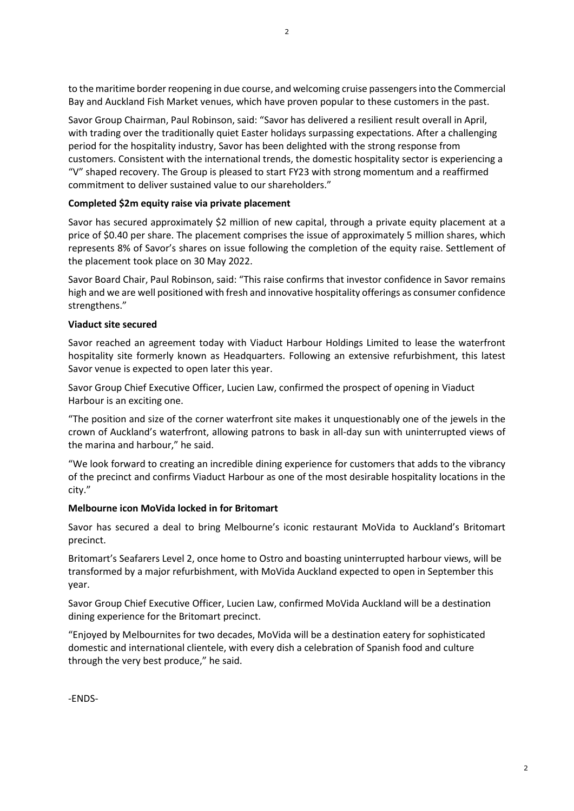to the maritime border reopening in due course, and welcoming cruise passengers into the Commercial Bay and Auckland Fish Market venues, which have proven popular to these customers in the past.

Savor Group Chairman, Paul Robinson, said: "Savor has delivered a resilient result overall in April, with trading over the traditionally quiet Easter holidays surpassing expectations. After a challenging period for the hospitality industry, Savor has been delighted with the strong response from customers. Consistent with the international trends, the domestic hospitality sector is experiencing a "V" shaped recovery. The Group is pleased to start FY23 with strong momentum and a reaffirmed commitment to deliver sustained value to our shareholders."

#### **Completed \$2m equity raise via private placement**

Savor has secured approximately \$2 million of new capital, through a private equity placement at a price of \$0.40 per share. The placement comprises the issue of approximately 5 million shares, which represents 8% of Savor's shares on issue following the completion of the equity raise. Settlement of the placement took place on 30 May 2022.

Savor Board Chair, Paul Robinson, said: "This raise confirms that investor confidence in Savor remains high and we are well positioned with fresh and innovative hospitality offerings as consumer confidence strengthens."

## **Viaduct site secured**

Savor reached an agreement today with Viaduct Harbour Holdings Limited to lease the waterfront hospitality site formerly known as Headquarters. Following an extensive refurbishment, this latest Savor venue is expected to open later this year.

Savor Group Chief Executive Officer, Lucien Law, confirmed the prospect of opening in Viaduct Harbour is an exciting one.

"The position and size of the corner waterfront site makes it unquestionably one of the jewels in the crown of Auckland's waterfront, allowing patrons to bask in all-day sun with uninterrupted views of the marina and harbour," he said.

"We look forward to creating an incredible dining experience for customers that adds to the vibrancy of the precinct and confirms Viaduct Harbour as one of the most desirable hospitality locations in the city."

#### **Melbourne icon MoVida locked in for Britomart**

Savor has secured a deal to bring Melbourne's iconic restaurant MoVida to Auckland's Britomart precinct.

Britomart's Seafarers Level 2, once home to Ostro and boasting uninterrupted harbour views, will be transformed by a major refurbishment, with MoVida Auckland expected to open in September this year.

Savor Group Chief Executive Officer, Lucien Law, confirmed MoVida Auckland will be a destination dining experience for the Britomart precinct.

"Enjoyed by Melbournites for two decades, MoVida will be a destination eatery for sophisticated domestic and international clientele, with every dish a celebration of Spanish food and culture through the very best produce," he said.

-ENDS-